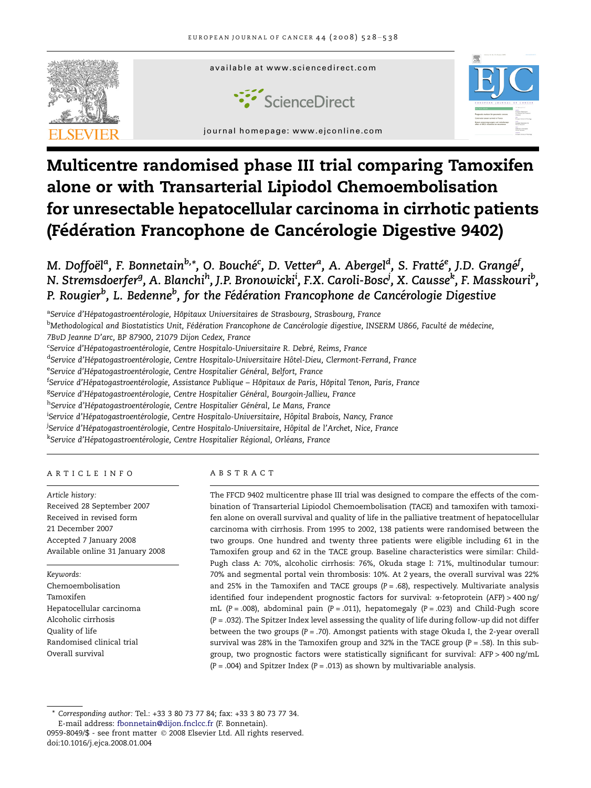

# Multicentre randomised phase III trial comparing Tamoxifen alone or with Transarterial Lipiodol Chemoembolisation for unresectable hepatocellular carcinoma in cirrhotic patients (Fédération Francophone de Cancérologie Digestive 9402)

M. Doffoël<sup>a</sup>, F. Bonnetain<sup>b,</sup>\*, O. Bouché<sup>c</sup>, D. Vetter<sup>a</sup>, A. Abergel<sup>d</sup>, S. Fratté<sup>e</sup>, J.D. Grangé<sup>f</sup>, N. Stremsdoerfer<sup>g</sup>, A. Blanchi<sup>h</sup>, J.P. Bronowicki<sup>i</sup>, F.X. Caroli-Bosc<sup>j</sup>, X. Causse<sup>k</sup>, F. Masskouri<sup>b</sup>, P. Rougier<sup>b</sup>, L. Bedenne<sup>b</sup>, for the Fédération Francophone de Cancérologie Digestive

<sup>a</sup>Service d'Hépatogastroentérologie, Hôpitaux Universitaires de Strasbourg, Strasbourg, France

<sup>b</sup>Methodological and Biostatistics Unit, Fédération Francophone de Cancérologie digestive, INSERM U866, Faculté de médecine,

7BvD Jeanne D'arc, BP 87900, 21079 Dijon Cedex, France

<sup>c</sup>Service d'Hépatogastroentérologie, Centre Hospitalo-Universitaire R. Debré, Reims, France

<sup>d</sup>Service d'Hépatogastroentérologie, Centre Hospitalo-Universitaire Hôtel-Dieu, Clermont-Ferrand, France

<sup>e</sup>Service d'Hépatogastroentérologie, Centre Hospitalier Général, Belfort, France

<sup>f</sup>Service d'Hépatogastroentérologie, Assistance Publique – Hôpitaux de Paris, Hôpital Tenon, Paris, France

<sup>g</sup>Service d'Hépatogastroentérologie, Centre Hospitalier Général, Bourgoin-Jallieu, France

h Service d'Hépatogastroentérologie, Centre Hospitalier Général, Le Mans, France

<sup>i</sup>Service d'Hépatogastroentérologie, Centre Hospitalo-Universitaire, Hôpital Brabois, Nancy, France

<sup>j</sup>Service d'Hépatogastroentérologie, Centre Hospitalo-Universitaire, Hôpital de l'Archet, Nice, France

<sup>k</sup>Service d'Hépatogastroentérologie, Centre Hospitalier Régional, Orléans, France

## ARTICLE INFO

Article history: Received 28 September 2007 Received in revised form 21 December 2007 Accepted 7 January 2008 Available online 31 January 2008

Keywords: Chemoembolisation Tamoxifen Hepatocellular carcinoma Alcoholic cirrhosis Quality of life Randomised clinical trial Overall survival

# ABSTRACT

The FFCD 9402 multicentre phase III trial was designed to compare the effects of the combination of Transarterial Lipiodol Chemoembolisation (TACE) and tamoxifen with tamoxifen alone on overall survival and quality of life in the palliative treatment of hepatocellular carcinoma with cirrhosis. From 1995 to 2002, 138 patients were randomised between the two groups. One hundred and twenty three patients were eligible including 61 in the Tamoxifen group and 62 in the TACE group. Baseline characteristics were similar: Child-Pugh class A: 70%, alcoholic cirrhosis: 76%, Okuda stage I: 71%, multinodular tumour: 70% and segmental portal vein thrombosis: 10%. At 2 years, the overall survival was 22% and 25% in the Tamoxifen and TACE groups  $(P = .68)$ , respectively. Multivariate analysis identified four independent prognostic factors for survival:  $\alpha$ -fetoprotein (AFP) > 400 ng/ mL ( $P = .008$ ), abdominal pain ( $P = .011$ ), hepatomegaly ( $P = .023$ ) and Child-Pugh score  $(P = .032)$ . The Spitzer Index level assessing the quality of life during follow-up did not differ between the two groups ( $P = .70$ ). Amongst patients with stage Okuda I, the 2-year overall survival was 28% in the Tamoxifen group and 32% in the TACE group ( $P = .58$ ). In this subgroup, two prognostic factors were statistically significant for survival: AFP > 400 ng/mL  $(P = .004)$  and Spitzer Index  $(P = .013)$  as shown by multivariable analysis.

Corresponding author: Tel.: +33 3 80 73 77 84; fax: +33 3 80 73 77 34. E-mail address: [fbonnetain@dijon.fnclcc.fr](mailto:fbonnetain@dijon.fnclcc.fr) (F. Bonnetain).

<sup>0959-8049/\$ -</sup> see front matter © 2008 Elsevier Ltd. All rights reserved. doi:10.1016/j.ejca.2008.01.004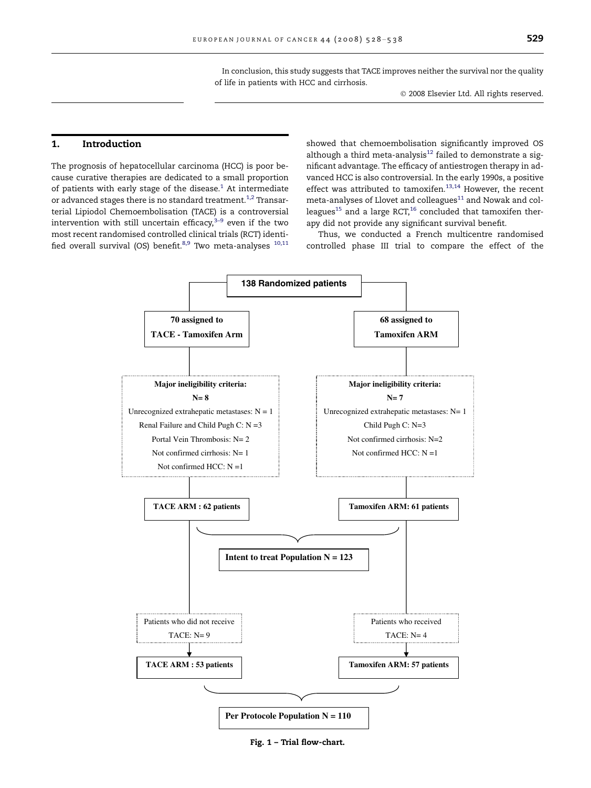In conclusion, this study suggests that TACE improves neither the survival nor the quality of life in patients with HCC and cirrhosis.

© 2008 Elsevier Ltd. All rights reserved.

## <span id="page-1-0"></span>1. Introduction

The prognosis of hepatocellular carcinoma (HCC) is poor because curative therapies are dedicated to a small proportion of patients with early stage of the disease. $1$  At intermediate or advanced stages there is no standard treatment. $1,2$  Transarterial Lipiodol Chemoembolisation (TACE) is a controversial intervention with still uncertain efficacy, $3-9$  even if the two most recent randomised controlled clinical trials (RCT) identi-fied overall survival (OS) benefit.<sup>[8,9](#page-9-0)</sup> Two meta-analyses  $10,11$ 

showed that chemoembolisation significantly improved OS although a third meta-analysis<sup>12</sup> failed to demonstrate a significant advantage. The efficacy of antiestrogen therapy in advanced HCC is also controversial. In the early 1990s, a positive effect was attributed to tamoxifen.<sup>[13,14](#page-9-0)</sup> However, the recent meta-analyses of Llovet and colleagues $^{11}$  and Nowak and colleagues<sup>15</sup> and a large RCT,<sup>16</sup> concluded that tamoxifen therapy did not provide any significant survival benefit.

Thus, we conducted a French multicentre randomised controlled phase III trial to compare the effect of the



Fig. 1 – Trial flow-chart.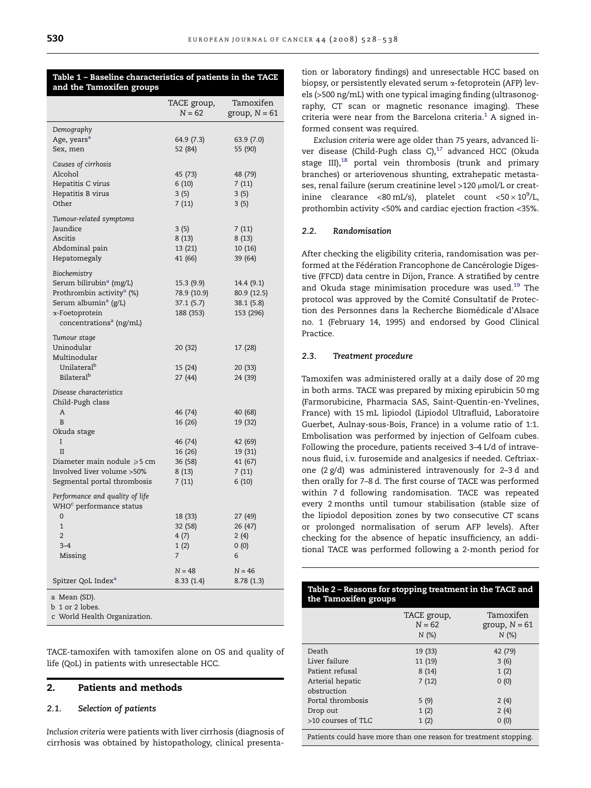## <span id="page-2-0"></span>Table 1 – Baseline characteristics of patients in the TACE and the Tamoxifen groups

|                                                                        | TACE group,        | Tamoxifen          |
|------------------------------------------------------------------------|--------------------|--------------------|
|                                                                        | $N = 62$           | group, $N = 61$    |
| Demography                                                             |                    |                    |
| Age, years <sup>a</sup>                                                | 64.9(7.3)          | 63.9(7.0)          |
| Sex, men                                                               | 52 (84)            | 55 (90)            |
| Causes of cirrhosis                                                    |                    |                    |
| Alcohol                                                                | 45 (73)            | 48 (79)            |
| Hepatitis C virus                                                      | 6(10)              | 7(11)              |
| Hepatitis B virus                                                      | 3(5)               | 3(5)               |
| Other                                                                  | 7(11)              | 3 (5)              |
| Tumour-related symptoms                                                |                    |                    |
| Jaundice                                                               | 3(5)               | 7 (11)             |
| Ascitis                                                                | 8 (13)             | 8(13)              |
| Abdominal pain                                                         | 13 (21)            | 10 (16)            |
| Hepatomegaly                                                           | 41 (66)            | 39 (64)            |
| Biochemistry                                                           |                    |                    |
| Serum bilirubin <sup>a</sup> (mg/L)                                    | 15.3(9.9)          | 14.4 (9.1)         |
| Prothrombin activity <sup>a</sup> (%)                                  | 78.9 (10.9)        | 80.9 (12.5)        |
| Serum albumin <sup>a</sup> (g/L)                                       | 37.1(5.7)          | 38.1(5.8)          |
| α-Foetoprotein                                                         | 188 (353)          | 153 (296)          |
| concentrations <sup>a</sup> (ng/mL)                                    |                    |                    |
| Tumour stage                                                           |                    |                    |
| Uninodular                                                             | 20 (32)            | 17 (28)            |
| Multinodular                                                           |                    |                    |
| Unilateral <sup>b</sup>                                                | 15 (24)            | 20 (33)            |
| Bilateral <sup>b</sup>                                                 | 27 (44)            | 24 (39)            |
| Disease characteristics                                                |                    |                    |
| Child-Pugh class                                                       |                    |                    |
| Α                                                                      | 46 (74)            | 40 (68)            |
| B                                                                      | 16 (26)            | 19 (32)            |
| Okuda stage                                                            |                    |                    |
| I<br>$_{\rm II}$                                                       | 46 (74)            | 42 (69)            |
| Diameter main nodule $\geqslant 5$ cm                                  | 16 (26)<br>36 (58) | 19 (31)<br>41 (67) |
| Involved liver volume > 50%                                            | 8 (13)             | 7 (11)             |
| Segmental portal thrombosis                                            | 7(11)              | 6(10)              |
|                                                                        |                    |                    |
| Performance and quality of life<br>WHO <sup>c</sup> performance status |                    |                    |
| 0                                                                      | 18 (33)            | 27 (49)            |
| $\mathbf{1}$                                                           | 32 (58)            | 26 (47)            |
| $\overline{2}$                                                         | 4 (7)              | 2(4)               |
| $3 - 4$                                                                | 1(2)               | 0(0)               |
| Missing                                                                | $\overline{7}$     | 6                  |
|                                                                        | $N = 48$           | $N = 46$           |
| Spitzer QoL Index <sup>a</sup>                                         | 8.33(1.4)          | 8.78(1.3)          |
| a Mean (SD).                                                           |                    |                    |
| b 1 or 2 lobes.                                                        |                    |                    |
| c World Health Organization.                                           |                    |                    |

TACE-tamoxifen with tamoxifen alone on OS and quality of life (QoL) in patients with unresectable HCC.

# 2. Patients and methods

#### 2.1. Selection of patients

Inclusion criteria were patients with liver cirrhosis (diagnosis of cirrhosis was obtained by histopathology, clinical presentation or laboratory findings) and unresectable HCC based on biopsy, or persistently elevated serum a-fetoprotein (AFP) levels (>500 ng/mL) with one typical imaging finding (ultrasonography, CT scan or magnetic resonance imaging). These criteria were near from the Barcelona criteria. $<sup>1</sup>$  A signed in-</sup> formed consent was required.

Exclusion criteria were age older than 75 years, advanced liver disease (Child-Pugh class C), $17$  advanced HCC (Okuda stage III),<sup>[18](#page-9-0)</sup> portal vein thrombosis (trunk and primary branches) or arteriovenous shunting, extrahepatic metastases, renal failure (serum creatinine level >120 µmol/L or creatinine clearance <80 mL/s), platelet count <50  $\times$  10<sup>9</sup>/L, prothombin activity <50% and cardiac ejection fraction <35%.

#### 2.2. Randomisation

After checking the eligibility criteria, randomisation was performed at the Fédération Francophone de Cancérologie Digestive (FFCD) data centre in Dijon, France. A stratified by centre and Okuda stage minimisation procedure was used.<sup>[19](#page-9-0)</sup> The protocol was approved by the Comité Consultatif de Protection des Personnes dans la Recherche Biomédicale d'Alsace no. 1 (February 14, 1995) and endorsed by Good Clinical Practice.

#### 2.3. Treatment procedure

Tamoxifen was administered orally at a daily dose of 20 mg in both arms. TACE was prepared by mixing epirubicin 50 mg (Farmorubicine, Pharmacia SAS, Saint-Quentin-en-Yvelines, France) with 15 mL lipiodol (Lipiodol Ultrafluid, Laboratoire Guerbet, Aulnay-sous-Bois, France) in a volume ratio of 1:1. Embolisation was performed by injection of Gelfoam cubes. Following the procedure, patients received 3–4 L/d of intravenous fluid, i.v. furosemide and analgesics if needed. Ceftriaxone (2 g/d) was administered intravenously for 2–3 d and then orally for 7–8 d. The first course of TACE was performed within 7 d following randomisation. TACE was repeated every 2 months until tumour stabilisation (stable size of the lipiodol deposition zones by two consecutive CT scans or prolonged normalisation of serum AFP levels). After checking for the absence of hepatic insufficiency, an additional TACE was performed following a 2-month period for

| Table 2 - Reasons for stopping treatment in the TACE and<br>the Tamoxifen groups |                                 |                                      |  |  |
|----------------------------------------------------------------------------------|---------------------------------|--------------------------------------|--|--|
|                                                                                  | TACE group,<br>$N = 62$<br>N(%) | Tamoxifen<br>group, $N = 61$<br>N(%) |  |  |
| Death                                                                            | 19 (33)                         | 42 (79)                              |  |  |
| Liver failure                                                                    | 11 (19)                         | 3(6)                                 |  |  |
| Patient refusal                                                                  | 8(14)                           | 1(2)                                 |  |  |
| Arterial hepatic<br>obstruction                                                  | 7(12)                           | 0(0)                                 |  |  |
| Portal thrombosis                                                                | 5(9)                            | 2(4)                                 |  |  |
| Drop out                                                                         | 1(2)                            | 2(4)                                 |  |  |
| $>10$ courses of TLC                                                             | 1(2)                            | 0(0)                                 |  |  |

Patients could have more than one reason for treatment stopping.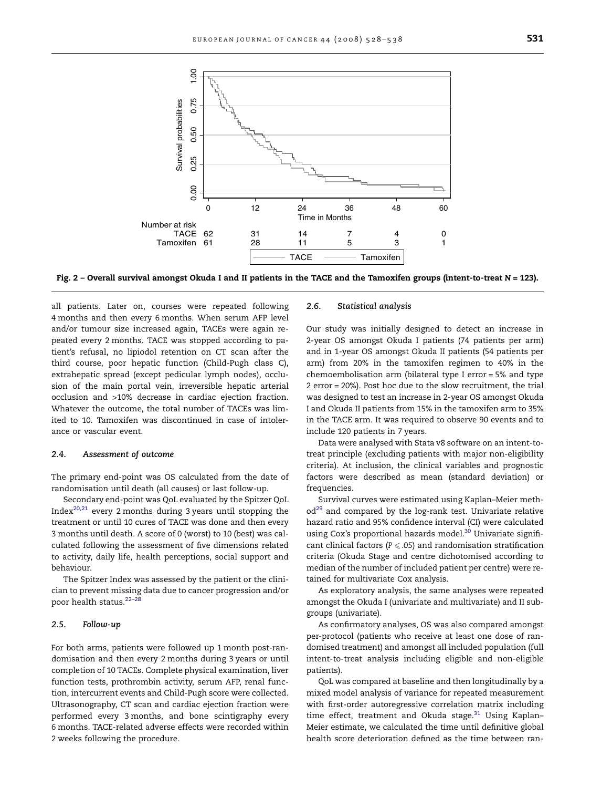<span id="page-3-0"></span>

Fig. 2 – Overall survival amongst Okuda I and II patients in the TACE and the Tamoxifen groups (intent-to-treat N = 123).

all patients. Later on, courses were repeated following 4 months and then every 6 months. When serum AFP level and/or tumour size increased again, TACEs were again repeated every 2 months. TACE was stopped according to patient's refusal, no lipiodol retention on CT scan after the third course, poor hepatic function (Child-Pugh class C), extrahepatic spread (except pedicular lymph nodes), occlusion of the main portal vein, irreversible hepatic arterial occlusion and >10% decrease in cardiac ejection fraction. Whatever the outcome, the total number of TACEs was limited to 10. Tamoxifen was discontinued in case of intolerance or vascular event.

#### 2.4. Assessment of outcome

The primary end-point was OS calculated from the date of randomisation until death (all causes) or last follow-up.

Secondary end-point was QoL evaluated by the Spitzer QoL Index $20,21$  every 2 months during 3 years until stopping the treatment or until 10 cures of TACE was done and then every 3 months until death. A score of 0 (worst) to 10 (best) was calculated following the assessment of five dimensions related to activity, daily life, health perceptions, social support and behaviour.

The Spitzer Index was assessed by the patient or the clinician to prevent missing data due to cancer progression and/or poor health status.<sup>22-28</sup>

## 2.5. Follow-up

For both arms, patients were followed up 1 month post-randomisation and then every 2 months during 3 years or until completion of 10 TACEs. Complete physical examination, liver function tests, prothrombin activity, serum AFP, renal function, intercurrent events and Child-Pugh score were collected. Ultrasonography, CT scan and cardiac ejection fraction were performed every 3 months, and bone scintigraphy every 6 months. TACE-related adverse effects were recorded within 2 weeks following the procedure.

#### 2.6. Statistical analysis

Our study was initially designed to detect an increase in 2-year OS amongst Okuda I patients (74 patients per arm) and in 1-year OS amongst Okuda II patients (54 patients per arm) from 20% in the tamoxifen regimen to 40% in the chemoembolisation arm (bilateral type I error = 5% and type 2 error = 20%). Post hoc due to the slow recruitment, the trial was designed to test an increase in 2-year OS amongst Okuda I and Okuda II patients from 15% in the tamoxifen arm to 35% in the TACE arm. It was required to observe 90 events and to include 120 patients in 7 years.

Data were analysed with Stata v8 software on an intent-totreat principle (excluding patients with major non-eligibility criteria). At inclusion, the clinical variables and prognostic factors were described as mean (standard deviation) or frequencies.

Survival curves were estimated using Kaplan–Meier meth- $od<sup>29</sup>$  $od<sup>29</sup>$  $od<sup>29</sup>$  and compared by the log-rank test. Univariate relative hazard ratio and 95% confidence interval (CI) were calculated using Cox's proportional hazards model.<sup>30</sup> Univariate significant clinical factors ( $P \le 0.05$ ) and randomisation stratification criteria (Okuda Stage and centre dichotomised according to median of the number of included patient per centre) were retained for multivariate Cox analysis.

As exploratory analysis, the same analyses were repeated amongst the Okuda I (univariate and multivariate) and II subgroups (univariate).

As confirmatory analyses, OS was also compared amongst per-protocol (patients who receive at least one dose of randomised treatment) and amongst all included population (full intent-to-treat analysis including eligible and non-eligible patients).

QoL was compared at baseline and then longitudinally by a mixed model analysis of variance for repeated measurement with first-order autoregressive correlation matrix including time effect, treatment and Okuda stage.<sup>[31](#page-10-0)</sup> Using Kaplan-Meier estimate, we calculated the time until definitive global health score deterioration defined as the time between ran-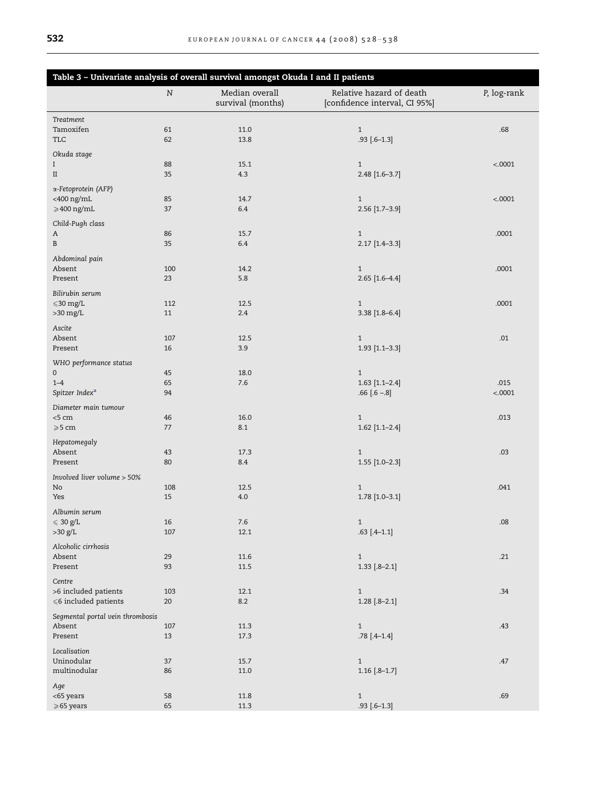<span id="page-4-0"></span>

| Table 3 - Univariate analysis of overall survival amongst Okuda I and II patients |           |                                     |                                                           |             |
|-----------------------------------------------------------------------------------|-----------|-------------------------------------|-----------------------------------------------------------|-------------|
|                                                                                   | ${\bf N}$ | Median overall<br>survival (months) | Relative hazard of death<br>[confidence interval, CI 95%] | P, log-rank |
| Treatment                                                                         |           |                                     |                                                           |             |
| Tamoxifen                                                                         | 61        | 11.0                                | $\mathbf{1}$                                              | .68         |
| <b>TLC</b>                                                                        | 62        | 13.8                                | $.93$ [.6-1.3]                                            |             |
| Okuda stage                                                                       |           |                                     |                                                           |             |
| I                                                                                 | 88        | 15.1                                | $1\,$                                                     | < .0001     |
| $\rm II$                                                                          | 35        | 4.3                                 | $2.48$ [1.6-3.7]                                          |             |
| α-Fetoprotein (AFP)                                                               |           |                                     |                                                           |             |
| $<$ 400 ng/mL                                                                     | 85        | 14.7                                | $\mathbf{1}$                                              | < .0001     |
| $\geqslant\!400\,\mathrm{ng/mL}$                                                  | 37        | 6.4                                 | $2.56$ [1.7-3.9]                                          |             |
| Child-Pugh class                                                                  |           |                                     |                                                           |             |
| Α                                                                                 | 86        | 15.7                                | $\mathbf{1}$                                              | .0001       |
| B                                                                                 | 35        | 6.4                                 | $2.17$ [1.4-3.3]                                          |             |
| Abdominal pain                                                                    |           |                                     |                                                           |             |
| Absent                                                                            | 100       | 14.2                                | $\mathbf{1}$                                              | .0001       |
| Present                                                                           | 23        | 5.8                                 | $2.65$ [1.6-4.4]                                          |             |
| Bilirubin serum                                                                   |           |                                     |                                                           |             |
| $\leqslant$ 30 mg/L                                                               | 112       | 12.5                                | $\mathbf{1}$                                              | .0001       |
| $>30$ mg/L                                                                        | 11        | 2.4                                 | $3.38$ [1.8-6.4]                                          |             |
|                                                                                   |           |                                     |                                                           |             |
| Ascite                                                                            |           |                                     |                                                           |             |
| Absent                                                                            | 107<br>16 | 12.5<br>3.9                         | $\mathbf{1}$                                              | .01         |
| Present                                                                           |           |                                     | $1.93$ [1.1-3.3]                                          |             |
| WHO performance status                                                            |           |                                     |                                                           |             |
| $\mathbf 0$                                                                       | 45        | 18.0                                | $\mathbf{1}$                                              |             |
| $1 - 4$                                                                           | 65        | 7.6                                 | $1.63$ [1.1-2.4]                                          | .015        |
| Spitzer Index <sup>a</sup>                                                        | 94        |                                     | .66 $[-6 - .8]$                                           | < .0001     |
| Diameter main tumour                                                              |           |                                     |                                                           |             |
| $<$ 5 cm                                                                          | 46        | 16.0                                | $1\,$                                                     | .013        |
| $\geqslant 5\;cm$                                                                 | 77        | 8.1                                 | $1.62$ [1.1-2.4]                                          |             |
| Hepatomegaly                                                                      |           |                                     |                                                           |             |
| Absent                                                                            | 43        | 17.3                                | $\mathbf{1}$                                              | .03         |
| Present                                                                           | 80        | 8.4                                 | $1.55$ [1.0-2.3]                                          |             |
| Involved liver volume > 50%                                                       |           |                                     |                                                           |             |
| No                                                                                | 108       | 12.5                                | $1\,$                                                     | .041        |
| Yes                                                                               | 15        | 4.0                                 | $1.78$ [1.0-3.1]                                          |             |
| Albumin serum                                                                     |           |                                     |                                                           |             |
| $\leqslant$ 30 g/L                                                                | 16        | $7.6\,$                             | $\mathbf{1}$                                              | .08         |
| $>30 g/L$                                                                         | 107       | 12.1                                | $.63$ $[-4-1.1]$                                          |             |
|                                                                                   |           |                                     |                                                           |             |
| Alcoholic cirrhosis<br>Absent                                                     | 29        | 11.6                                | $1\,$                                                     | .21         |
| Present                                                                           | 93        | 11.5                                | $1.33$ $[.8 - 2.1]$                                       |             |
|                                                                                   |           |                                     |                                                           |             |
| Centre                                                                            |           |                                     |                                                           |             |
| >6 included patients                                                              | 103       | 12.1                                | $1\,$                                                     | .34         |
| $\leqslant 6$ included patients                                                   | 20        | 8.2                                 | $1.28$ [.8-2.1]                                           |             |
| Segmental portal vein thrombosis                                                  |           |                                     |                                                           |             |
| Absent                                                                            | 107       | 11.3                                | $1\,$                                                     | .43         |
| Present                                                                           | 13        | 17.3                                | $.78$ [.4-1.4]                                            |             |
| Localisation                                                                      |           |                                     |                                                           |             |
| Uninodular                                                                        | 37        | 15.7                                | $1\,$                                                     | .47         |
| multinodular                                                                      | 86        | $11.0\,$                            | $1.16$ [.8-1.7]                                           |             |
| Age                                                                               |           |                                     |                                                           |             |
| <65 years                                                                         | 58        | 11.8                                | $1\,$                                                     | .69         |
| $\geqslant$ 65 years                                                              | 65        | 11.3                                | $.93$ [.6-1.3]                                            |             |
|                                                                                   |           |                                     |                                                           |             |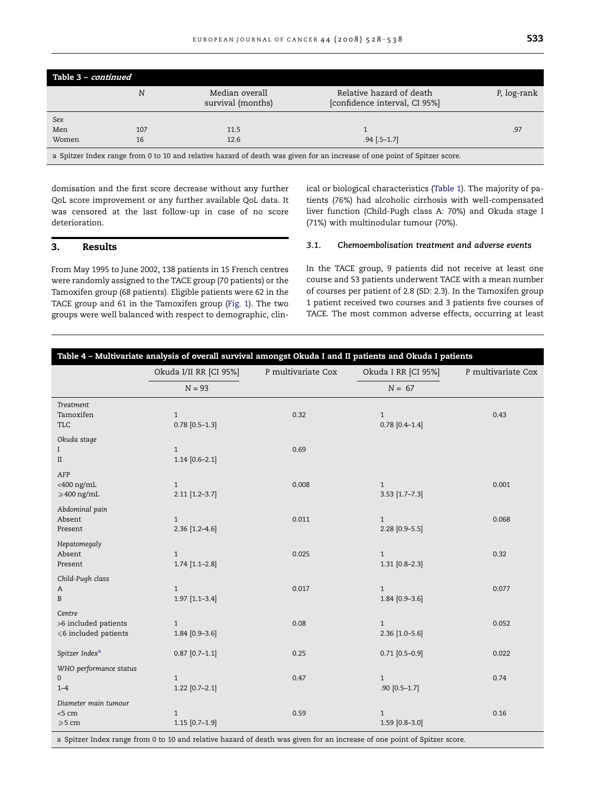<span id="page-5-0"></span>

| Table 3 – <i>continued</i>                                                                                               |     |                                     |                                                           |             |  |
|--------------------------------------------------------------------------------------------------------------------------|-----|-------------------------------------|-----------------------------------------------------------|-------------|--|
|                                                                                                                          | N   | Median overall<br>survival (months) | Relative hazard of death<br>[confidence interval, CI 95%] | P, log-rank |  |
| Sex                                                                                                                      |     |                                     |                                                           |             |  |
| Men                                                                                                                      | 107 | 11.5                                |                                                           | .97         |  |
| Women                                                                                                                    | 16  | 12.6                                | $.94$ [.5-1.7]                                            |             |  |
| a Spitzer Index range from 0 to 10 and relative hazard of death was given for an increase of one point of Spitzer score. |     |                                     |                                                           |             |  |

domisation and the first score decrease without any further QoL score improvement or any further available QoL data. It was censored at the last follow-up in case of no score deterioration.

# 3. Results

From May 1995 to June 2002, 138 patients in 15 French centres were randomly assigned to the TACE group (70 patients) or the Tamoxifen group (68 patients). Eligible patients were 62 in the TACE group and 61 in the Tamoxifen group ([Fig. 1\)](#page-1-0). The two groups were well balanced with respect to demographic, clinical or biological characteristics [\(Table 1\)](#page-2-0). The majority of patients (76%) had alcoholic cirrhosis with well-compensated liver function (Child-Pugh class A: 70%) and Okuda stage I (71%) with multinodular tumour (70%).

# 3.1. Chemoembolisation treatment and adverse events

In the TACE group, 9 patients did not receive at least one course and 53 patients underwent TACE with a mean number of courses per patient of 2.8 (SD: 2.3). In the Tamoxifen group 1 patient received two courses and 3 patients five courses of TACE. The most common adverse effects, occurring at least

| Table 4 - Multivariate analysis of overall survival amongst Okuda I and II patients and Okuda I patients                 |                                              |       |                                    |                    |  |
|--------------------------------------------------------------------------------------------------------------------------|----------------------------------------------|-------|------------------------------------|--------------------|--|
|                                                                                                                          | P multivariate Cox<br>Okuda I/II RR [CI 95%] |       | Okuda I RR [CI 95%]                | P multivariate Cox |  |
|                                                                                                                          | $N = 93$                                     |       | $N = 67$                           |                    |  |
| Treatment<br>Tamoxifen<br><b>TLC</b>                                                                                     | $\mathbf{1}$<br>$0.78$ [0.5-1.3]             | 0.32  | $\mathbf{1}$<br>$0.78$ [0.4-1.4]   | 0.43               |  |
| Okuda stage<br>$\mathbf{I}$<br>$_{\rm II}$                                                                               | $\mathbf{1}$<br>$1.14$ [0.6-2.1]             | 0.69  |                                    |                    |  |
| AFP<br>$<$ 400 ng/mL<br>$\geqslant$ 400 ng/mL                                                                            | $\mathbf{1}$<br>$2.11$ [1.2-3.7]             | 0.008 | $\mathbf{1}$<br>$3.53$ [1.7-7.3]   | 0.001              |  |
| Abdominal pain<br>Absent<br>Present                                                                                      | $\mathbf{1}$<br>$2.36$ [1.2-4.6]             | 0.011 | $\mathbf{1}$<br>$2.28$ [0.9-5.5]   | 0.068              |  |
| Hepatomegaly<br>Absent<br>Present                                                                                        | $\mathbf{1}$<br>$1.74$ [1.1-2.8]             | 0.025 | $\mathbf{1}$<br>$1.31$ [0.8-2.3]   | 0.32               |  |
| Child-Pugh class<br>A<br>B                                                                                               | $\mathbf{1}$<br>$1.97$ [1.1-3.4]             | 0.017 | $\mathbf{1}$<br>$1.84 [0.9 - 3.6]$ | 0.077              |  |
| Centre<br>>6 included patients<br>$\leqslant$ 6 included patients                                                        | 1<br>$1.84$ [0.9-3.6]                        | 0.08  | $\mathbf{1}$<br>$2.36$ [1.0-5.6]   | 0.052              |  |
| Spitzer Index <sup>a</sup>                                                                                               | $0.87$ [0.7-1.1]                             | 0.25  | $0.71$ [0.5-0.9]                   | 0.022              |  |
| WHO performance status<br>$\mathbf{0}$<br>$1 - 4$                                                                        | $\mathbf{1}$<br>$1.22$ [0.7-2.1]             | 0.47  | $\mathbf{1}$<br>$.90 [0.5 - 1.7]$  | 0.74               |  |
| Diameter main tumour<br>$<$ 5 cm<br>$\geqslant$ 5 cm                                                                     | $\mathbf{1}$<br>$1.15$ [0.7-1.9]             | 0.59  | $\mathbf{1}$<br>$1.59$ [0.8-3.0]   | 0.16               |  |
| a Spitzer Index range from 0 to 10 and relative hazard of death was given for an increase of one point of Spitzer score. |                                              |       |                                    |                    |  |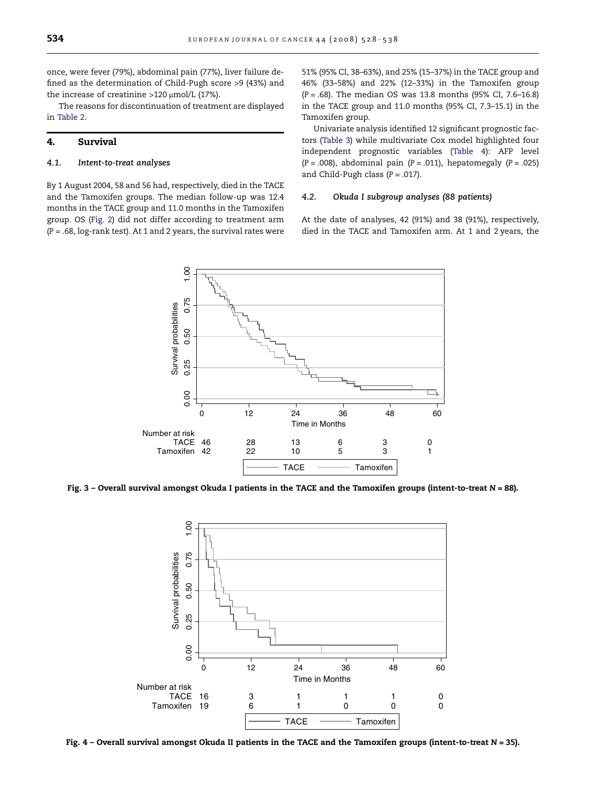<span id="page-6-0"></span>once, were fever (79%), abdominal pain (77%), liver failure defined as the determination of Child-Pugh score >9 (43%) and the increase of creatinine  $>120 \mu$ mol/L (17%).

The reasons for discontinuation of treatment are displayed in [Table 2](#page-2-0).

#### 4. Survival

## 4.1. Intent-to-treat analyses

By 1 August 2004, 58 and 56 had, respectively, died in the TACE and the Tamoxifen groups. The median follow-up was 12.4 months in the TACE group and 11.0 months in the Tamoxifen group. OS ([Fig. 2\)](#page-3-0) did not differ according to treatment arm  $(P = .68, log-rank test)$ . At 1 and 2 years, the survival rates were 51% (95% CI, 38–63%), and 25% (15–37%) in the TACE group and 46% (33–58%) and 22% (12–33%) in the Tamoxifen group (P = .68). The median OS was 13.8 months (95% CI, 7.6–16.8) in the TACE group and 11.0 months (95% CI, 7.3–15.1) in the Tamoxifen group.

Univariate analysis identified 12 significant prognostic factors ([Table 3](#page-4-0)) while multivariate Cox model highlighted four independent prognostic variables [\(Table 4\)](#page-5-0): AFP level (P = .008), abdominal pain (P = .011), hepatomegaly (P = .025) and Child-Pugh class  $(P = .017)$ .

### 4.2. Okuda I subgroup analyses (88 patients)

At the date of analyses, 42 (91%) and 38 (91%), respectively, died in the TACE and Tamoxifen arm. At 1 and 2 years, the



Fig. 3 – Overall survival amongst Okuda I patients in the TACE and the Tamoxifen groups (intent-to-treat  $N = 88$ ).



Fig. 4 – Overall survival amongst Okuda II patients in the TACE and the Tamoxifen groups (intent-to-treat N = 35).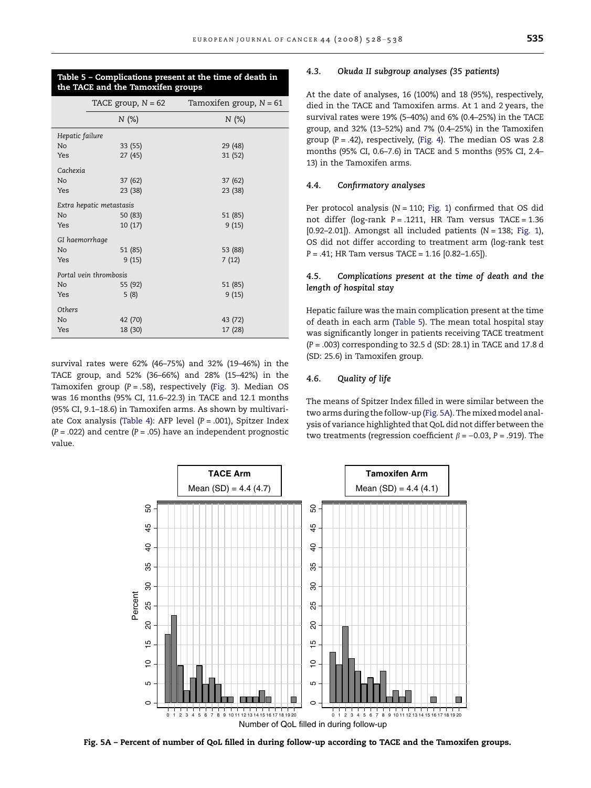## Table 5 – Complications present at the time of death in the TACE and the Tamoxifen groups

|                        | TACE group, $N = 62$     | Tamoxifen group, $N = 61$ |  |  |  |  |
|------------------------|--------------------------|---------------------------|--|--|--|--|
|                        | N(%)                     | N(%)                      |  |  |  |  |
| Hepatic failure        |                          |                           |  |  |  |  |
| N <sub>o</sub>         | 33(55)                   | 29 (48)                   |  |  |  |  |
| Yes                    | 27 (45)                  | 31 (52)                   |  |  |  |  |
| Cachexia               |                          |                           |  |  |  |  |
| N <sub>o</sub>         | 37(62)                   | 37(62)                    |  |  |  |  |
| Yes                    | 23 (38)                  | 23 (38)                   |  |  |  |  |
|                        | Extra hepatic metastasis |                           |  |  |  |  |
| No                     | 50 (83)                  | 51 (85)                   |  |  |  |  |
| Yes                    | 10 (17)                  | 9(15)                     |  |  |  |  |
| GI haemorrhage         |                          |                           |  |  |  |  |
| N <sub>o</sub>         | 51 (85)                  | 53 (88)                   |  |  |  |  |
| Yes                    | 9(15)                    | 7(12)                     |  |  |  |  |
| Portal vein thrombosis |                          |                           |  |  |  |  |
| N <sub>o</sub>         | 55 (92)                  | 51 (85)                   |  |  |  |  |
| Yes                    | 5(8)                     | 9(15)                     |  |  |  |  |
| Others                 |                          |                           |  |  |  |  |
| N <sub>o</sub>         | 42 (70)                  | 43 (72)                   |  |  |  |  |
| Yes                    | 18 (30)                  | 17 (28)                   |  |  |  |  |

survival rates were 62% (46–75%) and 32% (19–46%) in the TACE group, and 52% (36–66%) and 28% (15–42%) in the Tamoxifen group ( $P = .58$ ), respectively ([Fig. 3](#page-6-0)). Median OS was 16 months (95% CI, 11.6–22.3) in TACE and 12.1 months (95% CI, 9.1–18.6) in Tamoxifen arms. As shown by multivari-ate Cox analysis [\(Table 4](#page-5-0)): AFP level  $(P = .001)$ , Spitzer Index  $(P = .022)$  and centre  $(P = .05)$  have an independent prognostic value.

## 4.3. Okuda II subgroup analyses (35 patients)

At the date of analyses, 16 (100%) and 18 (95%), respectively, died in the TACE and Tamoxifen arms. At 1 and 2 years, the survival rates were 19% (5–40%) and 6% (0.4–25%) in the TACE group, and 32% (13–52%) and 7% (0.4–25%) in the Tamoxifen group ( $P = .42$ ), respectively, [\(Fig. 4\)](#page-6-0). The median OS was 2.8 months (95% CI, 0.6–7.6) in TACE and 5 months (95% CI, 2.4– 13) in the Tamoxifen arms.

#### 4.4. Confirmatory analyses

Per protocol analysis ( $N = 110$ ; [Fig. 1\)](#page-1-0) confirmed that OS did not differ (log-rank  $P = .1211$ , HR Tam versus TACE = 1.36  $[0.92-2.01]$ ). Amongst all included patients  $(N = 138;$  [Fig. 1](#page-1-0)), OS did not differ according to treatment arm (log-rank test  $P = .41$ ; HR Tam versus TACE = 1.16 [0.82-1.65]).

## 4.5. Complications present at the time of death and the length of hospital stay

Hepatic failure was the main complication present at the time of death in each arm (Table 5). The mean total hospital stay was significantly longer in patients receiving TACE treatment  $(P = .003)$  corresponding to 32.5 d (SD: 28.1) in TACE and 17.8 d (SD: 25.6) in Tamoxifen group.

## 4.6. Quality of life

The means of Spitzer Index filled in were similar between the two arms during the follow-up (Fig. 5A). The mixed model analysis of variance highlighted that QoL did not differ between the two treatments (regression coefficient  $\beta$  = -0.03, P = .919). The



Fig. 5A – Percent of number of QoL filled in during follow-up according to TACE and the Tamoxifen groups.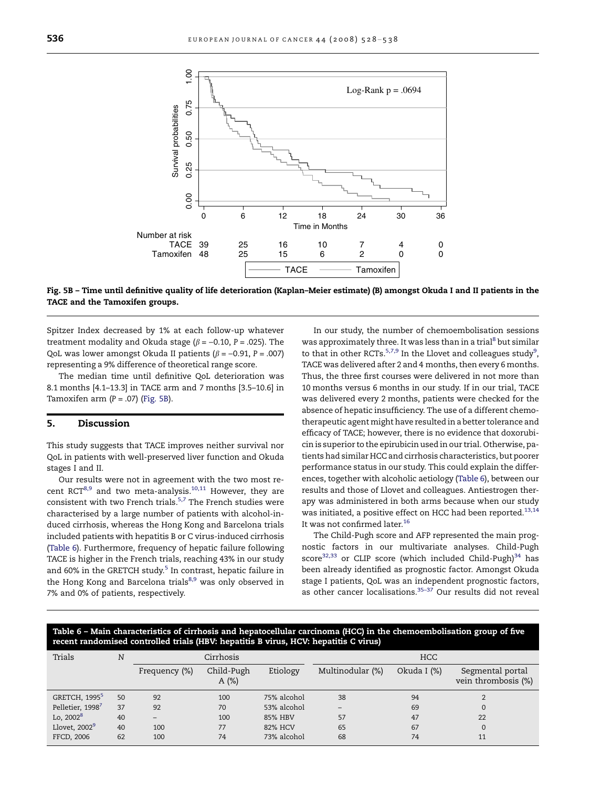

Fig. 5B – Time until definitive quality of life deterioration (Kaplan–Meier estimate) (B) amongst Okuda I and II patients in the TACE and the Tamoxifen groups.

Spitzer Index decreased by 1% at each follow-up whatever treatment modality and Okuda stage ( $\beta$  = -0.10, P = .025). The QoL was lower amongst Okuda II patients  $(\beta = -0.91, P = .007)$ representing a 9% difference of theoretical range score.

The median time until definitive QoL deterioration was 8.1 months [4.1–13.3] in TACE arm and 7 months [3.5–10.6] in Tamoxifen arm  $(P = .07)$  (Fig. 5B).

#### 5. Discussion

This study suggests that TACE improves neither survival nor QoL in patients with well-preserved liver function and Okuda stages I and II.

Our results were not in agreement with the two most recent  $RCT^{8,9}$  $RCT^{8,9}$  $RCT^{8,9}$  and two meta-analysis.<sup>[10,11](#page-9-0)</sup> However, they are consistent with two French trials. $5,7$  The French studies were characterised by a large number of patients with alcohol-induced cirrhosis, whereas the Hong Kong and Barcelona trials included patients with hepatitis B or C virus-induced cirrhosis (Table 6). Furthermore, frequency of hepatic failure following TACE is higher in the French trials, reaching 43% in our study and 60% in the GRETCH study.<sup>[5](#page-9-0)</sup> In contrast, hepatic failure in the Hong Kong and Barcelona trials<sup>8,9</sup> was only observed in 7% and 0% of patients, respectively.

In our study, the number of chemoembolisation sessions was approximately three. It was less than in a trial<sup>[8](#page-9-0)</sup> but similar to that in other RCTs. $5,7,9$  In the Llovet and colleagues study<sup>[9](#page-9-0)</sup>, TACE was delivered after 2 and 4 months, then every 6 months. Thus, the three first courses were delivered in not more than 10 months versus 6 months in our study. If in our trial, TACE was delivered every 2 months, patients were checked for the absence of hepatic insufficiency. The use of a different chemotherapeutic agent might have resulted in a better tolerance and efficacy of TACE; however, there is no evidence that doxorubicin is superior to the epirubicin used in our trial. Otherwise, patients had similar HCC and cirrhosis characteristics, but poorer performance status in our study. This could explain the differences, together with alcoholic aetiology (Table 6), between our results and those of Llovet and colleagues. Antiestrogen therapy was administered in both arms because when our study was initiated, a positive effect on HCC had been reported.<sup>[13,14](#page-9-0)</sup> It was not confirmed later.<sup>[16](#page-9-0)</sup>

The Child-Pugh score and AFP represented the main prognostic factors in our multivariate analyses. Child-Pugh  $score^{32,33}$  $score^{32,33}$  $score^{32,33}$  or CLIP score (which included Child-Pugh)<sup>[34](#page-10-0)</sup> has been already identified as prognostic factor. Amongst Okuda stage I patients, QoL was an independent prognostic factors, as other cancer localisations.<sup>35-37</sup> Our results did not reveal

Table 6 – Main characteristics of cirrhosis and hepatocellular carcinoma (HCC) in the chemoembolisation group of five recent randomised controlled trials (HBV: hepatitis B virus, HCV: hepatitis C virus)

| Trials                       | N  | Cirrhosis         |                    |             | <b>HCC</b>               |             |                                         |
|------------------------------|----|-------------------|--------------------|-------------|--------------------------|-------------|-----------------------------------------|
|                              |    | Frequency (%)     | Child-Pugh<br>A(%) | Etiology    | Multinodular (%)         | Okuda I (%) | Segmental portal<br>vein thrombosis (%) |
| GRETCH, 1995 <sup>5</sup>    | 50 | 92                | 100                | 75% alcohol | 38                       | 94          |                                         |
| Pelletier, 1998 <sup>7</sup> | 37 | 92                | 70                 | 53% alcohol | $\overline{\phantom{0}}$ | 69          | $\mathbf 0$                             |
| Lo, $2002^8$                 | 40 | $\qquad \qquad -$ | 100                | 85% HBV     | 57                       | 47          | 22                                      |
| Llovet, $20029$              | 40 | 100               | 77                 | 82% HCV     | 65                       | 67          | $\mathbf 0$                             |
| FFCD, 2006                   | 62 | 100               | 74                 | 73% alcohol | 68                       | 74          | 11                                      |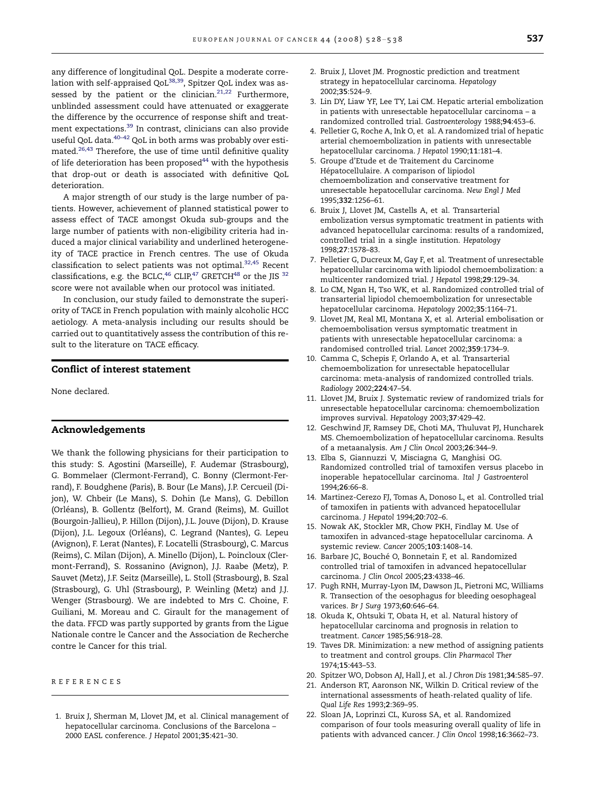<span id="page-9-0"></span>any difference of longitudinal QoL. Despite a moderate correlation with self-appraised QoL<sup>38,39</sup>, Spitzer QoL index was assessed by the patient or the clinician.<sup>21,22</sup> Furthermore, unblinded assessment could have attenuated or exaggerate the difference by the occurrence of response shift and treatment expectations.[39](#page-10-0) In contrast, clinicians can also provide useful QoL data.<sup>[40–42](#page-10-0)</sup> QoL in both arms was probably over estimated[.26,43](#page-10-0) Therefore, the use of time until definitive quality of life deterioration has been proposed $44$  with the hypothesis that drop-out or death is associated with definitive QoL deterioration.

A major strength of our study is the large number of patients. However, achievement of planned statistical power to assess effect of TACE amongst Okuda sub-groups and the large number of patients with non-eligibility criteria had induced a major clinical variability and underlined heterogeneity of TACE practice in French centres. The use of Okuda classification to select patients was not optimal. $32,45$  Recent classifications, e.g. the BCLC,<sup>46</sup> CLIP,<sup>[47](#page-10-0)</sup> GRETCH<sup>[48](#page-10-0)</sup> or the JIS  $32$ score were not available when our protocol was initiated.

In conclusion, our study failed to demonstrate the superiority of TACE in French population with mainly alcoholic HCC aetiology. A meta-analysis including our results should be carried out to quantitatively assess the contribution of this result to the literature on TACE efficacy.

# Conflict of interest statement

None declared.

### Acknowledgements

We thank the following physicians for their participation to this study: S. Agostini (Marseille), F. Audemar (Strasbourg), G. Bommelaer (Clermont-Ferrand), C. Bonny (Clermont-Ferrand), F. Boudghene (Paris), B. Bour (Le Mans), J.P. Cercueil (Dijon), W. Chbeir (Le Mans), S. Dohin (Le Mans), G. Debillon (Orléans), B. Gollentz (Belfort), M. Grand (Reims), M. Guillot (Bourgoin-Jallieu), P. Hillon (Dijon), J.L. Jouve (Dijon), D. Krause (Dijon), J.L. Legoux (Orléans), C. Legrand (Nantes), G. Lepeu (Avignon), F. Lerat (Nantes), F. Locatelli (Strasbourg), C. Marcus (Reims), C. Milan (Dijon), A. Minello (Dijon), L. Poincloux (Clermont-Ferrand), S. Rossanino (Avignon), J.J. Raabe (Metz), P. Sauvet (Metz), J.F. Seitz (Marseille), L. Stoll (Strasbourg), B. Szal (Strasbourg), G. Uhl (Strasbourg), P. Weinling (Metz) and J.J. Wenger (Strasbourg). We are indebted to Mrs C. Choine, F. Guiliani, M. Moreau and C. Girault for the management of the data. FFCD was partly supported by grants from the Ligue Nationale contre le Cancer and the Association de Recherche contre le Cancer for this trial.

## REFERENCES

1. Bruix J, Sherman M, Llovet JM, et al. Clinical management of hepatocellular carcinoma. Conclusions of the Barcelona – 2000 EASL conference. J Hepatol 2001;35:421–30.

- 2. Bruix J, Llovet JM. Prognostic prediction and treatment strategy in hepatocellular carcinoma. Hepatology 2002;35:524–9.
- 3. Lin DY, Liaw YF, Lee TY, Lai CM. Hepatic arterial embolization in patients with unresectable hepatocellular carcinoma – a randomized controlled trial. Gastroenterology 1988;94:453–6.
- Pelletier G, Roche A, Ink O, et al. A randomized trial of hepatic arterial chemoembolization in patients with unresectable hepatocellular carcinoma. J Hepatol 1990;11:181–4.
- 5. Groupe d'Etude et de Traitement du Carcinome Hépatocellulaire. A comparison of lipiodol chemoembolization and conservative treatment for unresectable hepatocellular carcinoma. New Engl J Med 1995;332:1256–61.
- 6. Bruix J, Llovet JM, Castells A, et al. Transarterial embolization versus symptomatic treatment in patients with advanced hepatocellular carcinoma: results of a randomized, controlled trial in a single institution. Hepatology 1998;27:1578–83.
- 7. Pelletier G, Ducreux M, Gay F, et al. Treatment of unresectable hepatocellular carcinoma with lipiodol chemoembolization: a multicenter randomized trial. J Hepatol 1998;29:129–34.
- 8. Lo CM, Ngan H, Tso WK, et al. Randomized controlled trial of transarterial lipiodol chemoembolization for unresectable hepatocellular carcinoma. Hepatology 2002;35:1164–71.
- Llovet JM, Real MI, Montana X, et al. Arterial embolisation or chemoembolisation versus symptomatic treatment in patients with unresectable hepatocellular carcinoma: a randomised controlled trial. Lancet 2002;359:1734–9.
- 10. Camma C, Schepis F, Orlando A, et al. Transarterial chemoembolization for unresectable hepatocellular carcinoma: meta-analysis of randomized controlled trials. Radiology 2002;224:47–54.
- 11. Llovet JM, Bruix J. Systematic review of randomized trials for unresectable hepatocellular carcinoma: chemoembolization improves survival. Hepatology 2003;37:429–42.
- 12. Geschwind JF, Ramsey DE, Choti MA, Thuluvat PJ, Huncharek MS. Chemoembolization of hepatocellular carcinoma. Results of a metaanalysis. Am J Clin Oncol 2003;26:344–9.
- 13. Elba S, Giannuzzi V, Misciagna G, Manghisi OG. Randomized controlled trial of tamoxifen versus placebo in inoperable hepatocellular carcinoma. Ital J Gastroenterol 1994;26:66–8.
- 14. Martinez-Cerezo FJ, Tomas A, Donoso L, et al. Controlled trial of tamoxifen in patients with advanced hepatocellular carcinoma. J Hepatol 1994;20:702–6.
- 15. Nowak AK, Stockler MR, Chow PKH, Findlay M. Use of tamoxifen in advanced-stage hepatocellular carcinoma. A systemic review. Cancer 2005;103:1408–14.
- 16. Barbare JC, Bouché O, Bonnetain F, et al. Randomized controlled trial of tamoxifen in advanced hepatocellular carcinoma. J Clin Oncol 2005;23:4338–46.
- 17. Pugh RNH, Murray-Lyon IM, Dawson JL, Pietroni MC, Williams R. Transection of the oesophagus for bleeding oesophageal varices. Br J Surg 1973;60:646–64.
- 18. Okuda K, Ohtsuki T, Obata H, et al. Natural history of hepatocellular carcinoma and prognosis in relation to treatment. Cancer 1985;56:918–28.
- 19. Taves DR. Minimization: a new method of assigning patients to treatment and control groups. Clin Pharmacol Ther 1974;15:443–53.
- 20. Spitzer WO, Dobson AJ, Hall J, et al. J Chron Dis 1981;34:585–97.
- 21. Anderson RT, Aaronson NK, Wilkin D. Critical review of the international assessments of heath-related quality of life. Qual Life Res 1993;2:369–95.
- 22. Sloan JA, Loprinzi CL, Kuross SA, et al. Randomized comparison of four tools measuring overall quality of life in patients with advanced cancer. J Clin Oncol 1998;16:3662–73.